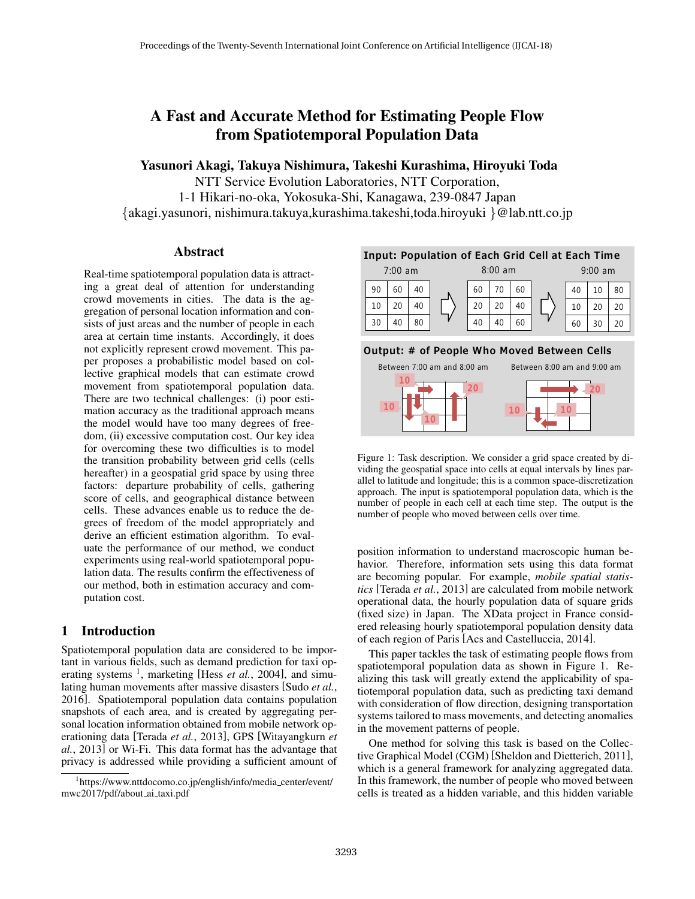# A Fast and Accurate Method for Estimating People Flow from Spatiotemporal Population Data

Yasunori Akagi, Takuya Nishimura, Takeshi Kurashima, Hiroyuki Toda

NTT Service Evolution Laboratories, NTT Corporation, 1-1 Hikari-no-oka, Yokosuka-Shi, Kanagawa, 239-0847 Japan *{*akagi.yasunori, nishimura.takuya,kurashima.takeshi,toda.hiroyuki *}*@lab.ntt.co.jp

## Abstract

Real-time spatiotemporal population data is attracting a great deal of attention for understanding crowd movements in cities. The data is the aggregation of personal location information and consists of just areas and the number of people in each area at certain time instants. Accordingly, it does not explicitly represent crowd movement. This paper proposes a probabilistic model based on collective graphical models that can estimate crowd movement from spatiotemporal population data. There are two technical challenges: (i) poor estimation accuracy as the traditional approach means the model would have too many degrees of freedom, (ii) excessive computation cost. Our key idea for overcoming these two difficulties is to model the transition probability between grid cells (cells hereafter) in a geospatial grid space by using three factors: departure probability of cells, gathering score of cells, and geographical distance between cells. These advances enable us to reduce the degrees of freedom of the model appropriately and derive an efficient estimation algorithm. To evaluate the performance of our method, we conduct experiments using real-world spatiotemporal population data. The results confirm the effectiveness of our method, both in estimation accuracy and computation cost.

# 1 Introduction

Spatiotemporal population data are considered to be important in various fields, such as demand prediction for taxi operating systems <sup>1</sup>, marketing [Hess *et al.*, 2004], and simulating human movements after massive disasters [Sudo *et al.*, 2016]. Spatiotemporal population data contains population snapshots of each area, and is created by aggregating personal location information obtained from mobile network operationing data [Terada *et al.*, 2013], GPS [Witayangkurn *et al.*, 2013] or Wi-Fi. This data format has the advantage that privacy is addressed while providing a sufficient amount of



## Output: # of People Who Moved Between Cells



Figure 1: Task description. We consider a grid space created by dividing the geospatial space into cells at equal intervals by lines parallel to latitude and longitude; this is a common space-discretization approach. The input is spatiotemporal population data, which is the number of people in each cell at each time step. The output is the number of people who moved between cells over time.

position information to understand macroscopic human behavior. Therefore, information sets using this data format are becoming popular. For example, *mobile spatial statistics* [Terada *et al.*, 2013] are calculated from mobile network operational data, the hourly population data of square grids (fixed size) in Japan. The XData project in France considered releasing hourly spatiotemporal population density data of each region of Paris [Acs and Castelluccia, 2014].

This paper tackles the task of estimating people flows from spatiotemporal population data as shown in Figure 1. Realizing this task will greatly extend the applicability of spatiotemporal population data, such as predicting taxi demand with consideration of flow direction, designing transportation systems tailored to mass movements, and detecting anomalies in the movement patterns of people.

One method for solving this task is based on the Collective Graphical Model (CGM) [Sheldon and Dietterich, 2011], which is a general framework for analyzing aggregated data. In this framework, the number of people who moved between cells is treated as a hidden variable, and this hidden variable

<sup>1</sup> https://www.nttdocomo.co.jp/english/info/media center/event/ mwc2017/pdf/about ai taxi.pdf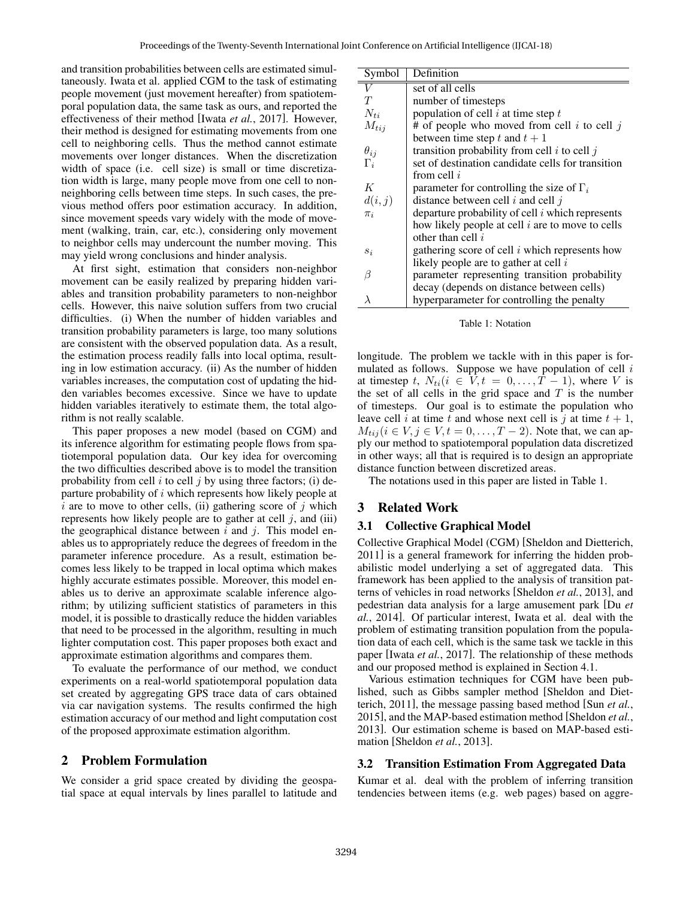and transition probabilities between cells are estimated simultaneously. Iwata et al. applied CGM to the task of estimating people movement (just movement hereafter) from spatiotemporal population data, the same task as ours, and reported the effectiveness of their method [Iwata *et al.*, 2017]. However, their method is designed for estimating movements from one cell to neighboring cells. Thus the method cannot estimate movements over longer distances. When the discretization width of space (i.e. cell size) is small or time discretization width is large, many people move from one cell to nonneighboring cells between time steps. In such cases, the previous method offers poor estimation accuracy. In addition, since movement speeds vary widely with the mode of movement (walking, train, car, etc.), considering only movement to neighbor cells may undercount the number moving. This may yield wrong conclusions and hinder analysis.

At first sight, estimation that considers non-neighbor movement can be easily realized by preparing hidden variables and transition probability parameters to non-neighbor cells. However, this naive solution suffers from two crucial difficulties. (i) When the number of hidden variables and transition probability parameters is large, too many solutions are consistent with the observed population data. As a result, the estimation process readily falls into local optima, resulting in low estimation accuracy. (ii) As the number of hidden variables increases, the computation cost of updating the hidden variables becomes excessive. Since we have to update hidden variables iteratively to estimate them, the total algorithm is not really scalable.

This paper proposes a new model (based on CGM) and its inference algorithm for estimating people flows from spatiotemporal population data. Our key idea for overcoming the two difficulties described above is to model the transition probability from cell *i* to cell *j* by using three factors; (i) departure probability of *i* which represents how likely people at  $i$  are to move to other cells, (ii) gathering score of  $j$  which represents how likely people are to gather at cell *j*, and (iii) the geographical distance between *i* and *j*. This model enables us to appropriately reduce the degrees of freedom in the parameter inference procedure. As a result, estimation becomes less likely to be trapped in local optima which makes highly accurate estimates possible. Moreover, this model enables us to derive an approximate scalable inference algorithm; by utilizing sufficient statistics of parameters in this model, it is possible to drastically reduce the hidden variables that need to be processed in the algorithm, resulting in much lighter computation cost. This paper proposes both exact and approximate estimation algorithms and compares them.

To evaluate the performance of our method, we conduct experiments on a real-world spatiotemporal population data set created by aggregating GPS trace data of cars obtained via car navigation systems. The results confirmed the high estimation accuracy of our method and light computation cost of the proposed approximate estimation algorithm.

# 2 Problem Formulation

We consider a grid space created by dividing the geospatial space at equal intervals by lines parallel to latitude and

| Symbol        | Definition                                         |
|---------------|----------------------------------------------------|
| V             | set of all cells                                   |
| T             | number of timesteps                                |
| $N_{ti}$      | population of cell $i$ at time step $t$            |
| $M_{tij}$     | # of people who moved from cell i to cell j        |
|               | between time step t and $t + 1$                    |
| $\theta_{ij}$ | transition probability from cell $i$ to cell $j$   |
| $\Gamma_i$    | set of destination candidate cells for transition  |
|               | from cell $i$                                      |
| K             | parameter for controlling the size of $\Gamma_i$   |
| d(i, j)       | distance between cell $i$ and cell $j$             |
| $\pi_i$       | departure probability of cell $i$ which represents |
|               | how likely people at cell $i$ are to move to cells |
|               | other than cell i                                  |
| $s_i$         | gathering score of cell $i$ which represents how   |
|               | likely people are to gather at cell $i$            |
| β             | parameter representing transition probability      |
|               | decay (depends on distance between cells)          |
| λ             | hyperparameter for controlling the penalty         |

Table 1: Notation

longitude. The problem we tackle with in this paper is formulated as follows. Suppose we have population of cell *i* at timestep *t*,  $N_{ti}$  ( $i \in V, t = 0, \ldots, T-1$ ), where *V* is the set of all cells in the grid space and *T* is the number of timesteps. Our goal is to estimate the population who leave cell *i* at time *t* and whose next cell is *j* at time  $t + 1$ ,  $M_{tij}$  ( $i \in V, j \in V, t = 0, ..., T - 2$ ). Note that, we can apply our method to spatiotemporal population data discretized in other ways; all that is required is to design an appropriate distance function between discretized areas.

The notations used in this paper are listed in Table 1.

## 3 Related Work

#### 3.1 Collective Graphical Model

Collective Graphical Model (CGM) [Sheldon and Dietterich, 2011] is a general framework for inferring the hidden probabilistic model underlying a set of aggregated data. This framework has been applied to the analysis of transition patterns of vehicles in road networks [Sheldon *et al.*, 2013], and pedestrian data analysis for a large amusement park [Du *et al.*, 2014]. Of particular interest, Iwata et al. deal with the problem of estimating transition population from the population data of each cell, which is the same task we tackle in this paper [Iwata *et al.*, 2017]. The relationship of these methods and our proposed method is explained in Section 4.1.

Various estimation techniques for CGM have been published, such as Gibbs sampler method [Sheldon and Dietterich, 2011], the message passing based method [Sun *et al.*, 2015], and the MAP-based estimation method [Sheldon *et al.*, 2013]. Our estimation scheme is based on MAP-based estimation [Sheldon *et al.*, 2013].

#### 3.2 Transition Estimation From Aggregated Data

Kumar et al. deal with the problem of inferring transition tendencies between items (e.g. web pages) based on aggre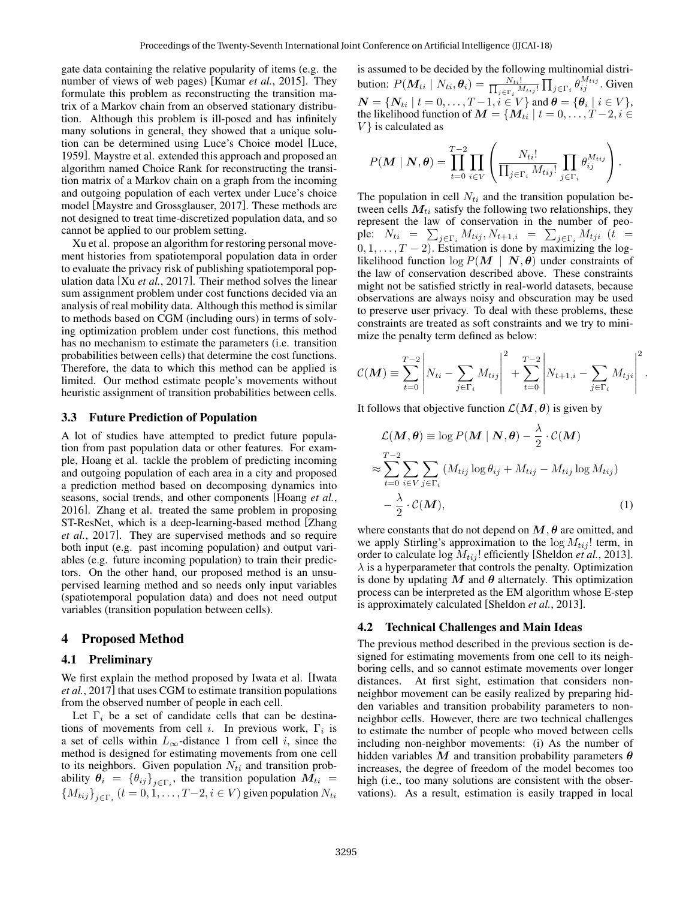gate data containing the relative popularity of items (e.g. the number of views of web pages) [Kumar *et al.*, 2015]. They formulate this problem as reconstructing the transition matrix of a Markov chain from an observed stationary distribution. Although this problem is ill-posed and has infinitely many solutions in general, they showed that a unique solution can be determined using Luce's Choice model [Luce, 1959]. Maystre et al. extended this approach and proposed an algorithm named Choice Rank for reconstructing the transition matrix of a Markov chain on a graph from the incoming and outgoing population of each vertex under Luce's choice model [Maystre and Grossglauser, 2017]. These methods are not designed to treat time-discretized population data, and so cannot be applied to our problem setting.

Xu et al. propose an algorithm for restoring personal movement histories from spatiotemporal population data in order to evaluate the privacy risk of publishing spatiotemporal population data [Xu *et al.*, 2017]. Their method solves the linear sum assignment problem under cost functions decided via an analysis of real mobility data. Although this method is similar to methods based on CGM (including ours) in terms of solving optimization problem under cost functions, this method has no mechanism to estimate the parameters (i.e. transition probabilities between cells) that determine the cost functions. Therefore, the data to which this method can be applied is limited. Our method estimate people's movements without heuristic assignment of transition probabilities between cells.

## 3.3 Future Prediction of Population

A lot of studies have attempted to predict future population from past population data or other features. For example, Hoang et al. tackle the problem of predicting incoming and outgoing population of each area in a city and proposed a prediction method based on decomposing dynamics into seasons, social trends, and other components [Hoang *et al.*, 2016]. Zhang et al. treated the same problem in proposing ST-ResNet, which is a deep-learning-based method [Zhang *et al.*, 2017]. They are supervised methods and so require both input (e.g. past incoming population) and output variables (e.g. future incoming population) to train their predictors. On the other hand, our proposed method is an unsupervised learning method and so needs only input variables (spatiotemporal population data) and does not need output variables (transition population between cells).

## 4 Proposed Method

#### 4.1 Preliminary

We first explain the method proposed by Iwata et al. [Iwata *et al.*, 2017] that uses CGM to estimate transition populations from the observed number of people in each cell.

Let  $\Gamma_i$  be a set of candidate cells that can be destinations of movements from cell *i*. In previous work, Γ*<sup>i</sup>* is a set of cells within  $L_{\infty}$ -distance 1 from cell *i*, since the method is designed for estimating movements from one cell to its neighbors. Given population  $N_{ti}$  and transition probability  $\theta_i = {\theta_{ij}}_{j \in \Gamma_i}$ , the transition population  $M_{ti} =$  ${M_{tij}}_{j \in \Gamma_i}$  (*t* = 0, 1, . . . . , *T* − 2, *i* ∈ *V*) given population  $N_{ti}$ 

is assumed to be decided by the following multinomial distribution:  $P(\mathbf{M}_{ti} | N_{ti}, \boldsymbol{\theta}_i) = \frac{N_{ti}!}{\prod_{i \in \mathcal{N}} N_i}$  $\frac{N_{ti}!}{j \in \Gamma_i} M_{tij}! \prod_{j \in \Gamma_i} \theta_{ij}^{M_{tij}}$ . Given  $\boldsymbol{N} = \{ \boldsymbol{N}_{ti} \mid t = 0, \ldots, T-1, i \in V \}$  and  $\boldsymbol{\theta} = \{ \boldsymbol{\theta}_i \mid i \in V \},$ the likelihood function of  $M = \{M_{ti} | t = 0, \ldots, T-2, i \in$ *V }* is calculated as

$$
P(\boldsymbol{M} \mid \boldsymbol{N}, \boldsymbol{\theta}) = \prod_{t=0}^{T-2} \prod_{i \in V} \left( \frac{N_{ti}!}{\prod_{j \in \Gamma_i} M_{tij}!} \prod_{j \in \Gamma_i} \theta_{ij}^{M_{tij}} \right).
$$

The population in cell  $N_{ti}$  and the transition population between cells  $M_{ti}$  satisfy the following two relationships, they represent the law of conservation in the number of people:  $N_{ti} = \sum_{j \in \Gamma_i} M_{tij}, N_{t+1,i} = \sum_{j \in \Gamma_i} M_{tji}$  (*t* =  $0, 1, \ldots, T-2$ ). Estimation is done by maximizing the loglikelihood function  $\log P(M \mid N, \theta)$  under constraints of the law of conservation described above. These constraints might not be satisfied strictly in real-world datasets, because observations are always noisy and obscuration may be used to preserve user privacy. To deal with these problems, these constraints are treated as soft constraints and we try to minimize the penalty term defined as below:

$$
C(\boldsymbol{M}) \equiv \sum_{t=0}^{T-2} \left| N_{ti} - \sum_{j \in \Gamma_i} M_{tij} \right|^2 + \sum_{t=0}^{T-2} \left| N_{t+1,i} - \sum_{j \in \Gamma_i} M_{tji} \right|^2.
$$

It follows that objective function  $\mathcal{L}(M, \theta)$  is given by

$$
\mathcal{L}(\mathbf{M}, \theta) \equiv \log P(\mathbf{M} \mid \mathbf{N}, \theta) - \frac{\lambda}{2} \cdot \mathcal{C}(\mathbf{M})
$$
  

$$
\approx \sum_{t=0}^{T-2} \sum_{i \in V} \sum_{j \in \Gamma_i} (M_{tij} \log \theta_{ij} + M_{tij} - M_{tij} \log M_{tij})
$$
  

$$
-\frac{\lambda}{2} \cdot \mathcal{C}(\mathbf{M}),
$$
 (1)

where constants that do not depend on  $M$ ,  $\theta$  are omitted, and we apply Stirling's approximation to the  $\log M_{tij}$ ! term, in order to calculate log *Mtij* ! efficiently [Sheldon *et al.*, 2013].  $\lambda$  is a hyperparameter that controls the penalty. Optimization is done by updating  $M$  and  $\theta$  alternately. This optimization process can be interpreted as the EM algorithm whose E-step is approximately calculated [Sheldon *et al.*, 2013].

#### 4.2 Technical Challenges and Main Ideas

The previous method described in the previous section is designed for estimating movements from one cell to its neighboring cells, and so cannot estimate movements over longer distances. At first sight, estimation that considers nonneighbor movement can be easily realized by preparing hidden variables and transition probability parameters to nonneighbor cells. However, there are two technical challenges to estimate the number of people who moved between cells including non-neighbor movements: (i) As the number of hidden variables *M* and transition probability parameters *θ* increases, the degree of freedom of the model becomes too high (i.e., too many solutions are consistent with the observations). As a result, estimation is easily trapped in local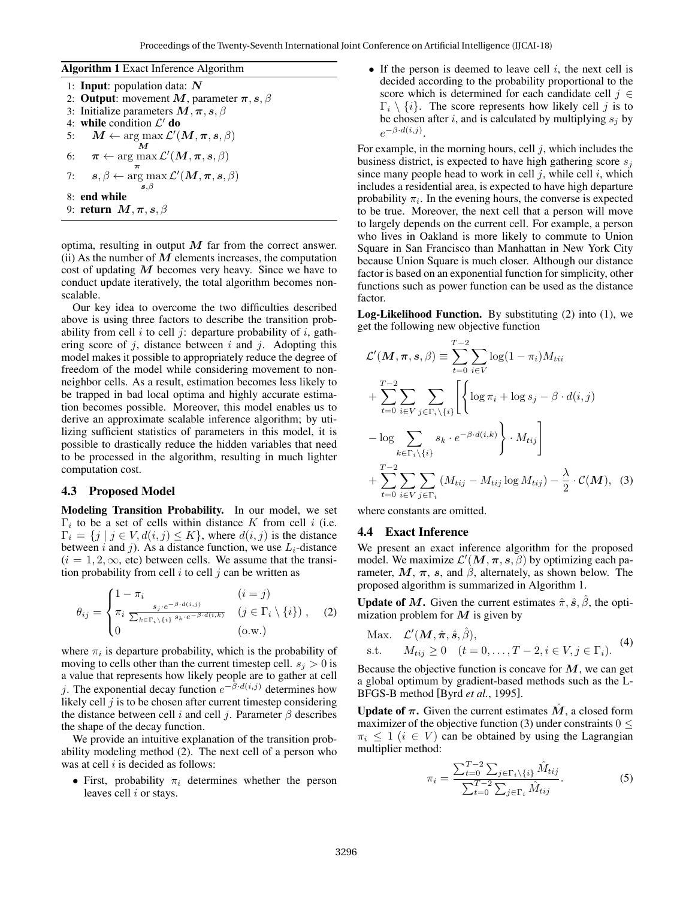Algorithm 1 Exact Inference Algorithm 1: Input: population data: *N* 2: **Output**: movement *M*, parameter  $\pi$ , *s*,  $\beta$ 3: Initialize parameters *M,π, s, β* 4: while condition *L ′* do 5:  $\mathbf{M} \leftarrow \arg \max \mathcal{L}'(\mathbf{M}, \pi, s, \beta)$ *M*  $\sigma$ :  $\pi \leftarrow \arg \max \mathcal{L}'(\bm{M}, \bm{\pi}, \bm{s}, \beta)$ 7:  $s, \beta \leftarrow \argmax \mathcal{L}'(M, \pi, s, \beta)$ *s,β* 8: end while 9: return *M,π, s, β*

optima, resulting in output *M* far from the correct answer. (ii) As the number of  $M$  elements increases, the computation cost of updating *M* becomes very heavy. Since we have to conduct update iteratively, the total algorithm becomes nonscalable.

Our key idea to overcome the two difficulties described above is using three factors to describe the transition probability from cell *i* to cell *j*: departure probability of *i*, gathering score of *j*, distance between *i* and *j*. Adopting this model makes it possible to appropriately reduce the degree of freedom of the model while considering movement to nonneighbor cells. As a result, estimation becomes less likely to be trapped in bad local optima and highly accurate estimation becomes possible. Moreover, this model enables us to derive an approximate scalable inference algorithm; by utilizing sufficient statistics of parameters in this model, it is possible to drastically reduce the hidden variables that need to be processed in the algorithm, resulting in much lighter computation cost.

#### 4.3 Proposed Model

Modeling Transition Probability. In our model, we set Γ*i* to be a set of cells within distance *K* from cell *i* (i.e.  $\Gamma_i = \{j \mid j \in V, d(i, j) \leq K\}$ , where  $d(i, j)$  is the distance between *i* and *j*). As a distance function, we use  $L_i$ -distance  $(i = 1, 2, \infty,$  etc) between cells. We assume that the transition probability from cell *i* to cell *j* can be written as

$$
\theta_{ij} = \begin{cases}\n1 - \pi_i & (i = j) \\
\pi_i \frac{s_j \cdot e^{-\beta \cdot d(i,j)}}{\sum_{k \in \Gamma_i \setminus \{i\}} s_k \cdot e^{-\beta \cdot d(i,k)}} & (j \in \Gamma_i \setminus \{i\}) \\
0 & (\text{o.w.})\n\end{cases}
$$
\n(2)

where  $\pi_i$  is departure probability, which is the probability of moving to cells other than the current timestep cell.  $s_j > 0$  is a value that represents how likely people are to gather at cell *j*. The exponential decay function  $e^{-\beta \cdot d(i,j)}$  determines how likely cell *j* is to be chosen after current timestep considering the distance between cell *i* and cell *j*. Parameter  $\beta$  describes the shape of the decay function.

We provide an intuitive explanation of the transition probability modeling method (2). The next cell of a person who was at cell *i* is decided as follows:

*•* First, probability *π<sup>i</sup>* determines whether the person leaves cell *i* or stays.

*•* If the person is deemed to leave cell *i*, the next cell is decided according to the probability proportional to the score which is determined for each candidate cell *j ∈*  $\Gamma_i \setminus \{i\}$ . The score represents how likely cell *j* is to be chosen after *i*, and is calculated by multiplying  $s_j$  by *e −β·d*(*i,j*) .

For example, in the morning hours, cell *j*, which includes the business district, is expected to have high gathering score *s<sup>j</sup>* since many people head to work in cell *j*, while cell *i*, which includes a residential area, is expected to have high departure probability  $\pi_i$ . In the evening hours, the converse is expected to be true. Moreover, the next cell that a person will move to largely depends on the current cell. For example, a person who lives in Oakland is more likely to commute to Union Square in San Francisco than Manhattan in New York City because Union Square is much closer. Although our distance factor is based on an exponential function for simplicity, other functions such as power function can be used as the distance factor.

Log-Likelihood Function. By substituting (2) into (1), we get the following new objective function

$$
\mathcal{L}'(\boldsymbol{M}, \boldsymbol{\pi}, \boldsymbol{s}, \beta) \equiv \sum_{t=0}^{T-2} \sum_{i \in V} \log(1 - \pi_i) M_{tii}
$$
  
+ 
$$
\sum_{t=0}^{T-2} \sum_{i \in V} \sum_{j \in \Gamma_i \setminus \{i\}} \left[ \left\{ \log \pi_i + \log s_j - \beta \cdot d(i, j) - \log \sum_{k \in \Gamma_i \setminus \{i\}} s_k \cdot e^{-\beta \cdot d(i,k)} \right\} \cdot M_{tij} \right]
$$
  
+ 
$$
\sum_{t=0}^{T-2} \sum_{i \in V} \sum_{j \in \Gamma_i} (M_{tij} - M_{tij} \log M_{tij}) - \frac{\lambda}{2} \cdot \mathcal{C}(\boldsymbol{M}), \quad (3)
$$

where constants are omitted.

#### 4.4 Exact Inference

We present an exact inference algorithm for the proposed model. We maximize  $\mathcal{L}'(M, \pi, s, \beta)$  by optimizing each parameter,  $M$ ,  $\pi$ ,  $s$ , and  $\beta$ , alternately, as shown below. The proposed algorithm is summarized in Algorithm 1.

Update of *M*. Given the current estimates  $\hat{\pi}$ ,  $\hat{s}$ ,  $\hat{\beta}$ , the optimization problem for *M* is given by

Max. 
$$
\mathcal{L}'(\mathbf{M}, \hat{\pi}, \hat{s}, \hat{\beta}),
$$
  
s.t.  $M_{tij} \ge 0$   $(t = 0, ..., T - 2, i \in V, j \in \Gamma_i)$ . (4)

Because the objective function is concave for *M*, we can get a global optimum by gradient-based methods such as the L-BFGS-B method [Byrd *et al.*, 1995].

Update of  $\pi$ . Given the current estimates  $\hat{M}$ , a closed form maximizer of the objective function (3) under constraints 0 *≤*  $\pi_i \leq 1$  (*i*  $\in V$ ) can be obtained by using the Lagrangian multiplier method:

$$
\pi_i = \frac{\sum_{t=0}^{T-2} \sum_{j \in \Gamma_i \setminus \{i\}} \hat{M}_{tij}}{\sum_{t=0}^{T-2} \sum_{j \in \Gamma_i} \hat{M}_{tij}}.
$$
\n(5)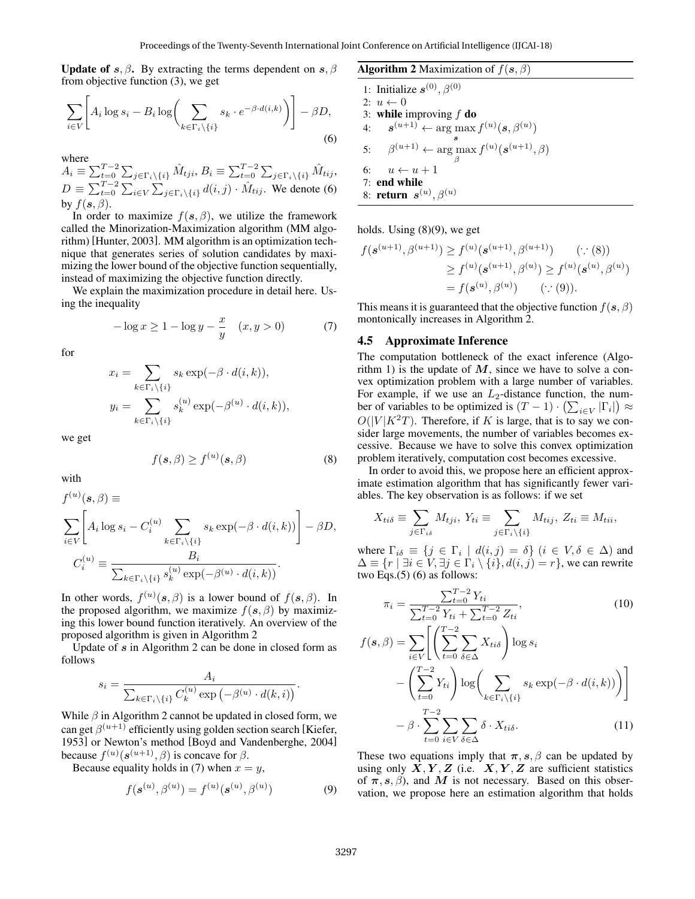Update of *s*,  $\beta$ . By extracting the terms dependent on *s*,  $\beta$ from objective function (3), we get

$$
\sum_{i \in V} \left[ A_i \log s_i - B_i \log \left( \sum_{k \in \Gamma_i \setminus \{i\}} s_k \cdot e^{-\beta \cdot d(i,k)} \right) \right] - \beta D,
$$
\n(6)

where

 $A_i \equiv \sum_{t=0}^{T-2} \sum_{j \in \Gamma_i \backslash \{i\}} \hat{M}_{tji}, B_i \equiv \sum_{t=0}^{T-2} \sum_{j \in \Gamma_i \backslash \{i\}} \hat{M}_{tij},$  $D \equiv \sum_{t=0}^{T-2} \sum_{i \in V} \sum_{j \in \Gamma_i \setminus \{i\}} d(i,j) \cdot \hat{M}_{tij}$ . We denote (6) by  $f(\mathbf{s}, \beta)$ .

In order to maximize  $f(s, \beta)$ , we utilize the framework called the Minorization-Maximization algorithm (MM algorithm) [Hunter, 2003]. MM algorithm is an optimization technique that generates series of solution candidates by maximizing the lower bound of the objective function sequentially, instead of maximizing the objective function directly.

We explain the maximization procedure in detail here. Using the inequality

$$
-\log x \ge 1 - \log y - \frac{x}{y} \quad (x, y > 0)
$$
 (7)

for

$$
x_i = \sum_{k \in \Gamma_i \setminus \{i\}} s_k \exp(-\beta \cdot d(i,k)),
$$
  
\n
$$
y_i = \sum_{k \in \Gamma_i \setminus \{i\}} s_k^{(u)} \exp(-\beta^{(u)} \cdot d(i,k)),
$$

we get

$$
f(\mathbf{s}, \beta) \ge f^{(u)}(\mathbf{s}, \beta) \tag{8}
$$

with

$$
f^{(u)}(s,\beta) \equiv
$$
  
\n
$$
\sum_{i\in V} \left[ A_i \log s_i - C_i^{(u)} \sum_{k \in \Gamma_i \setminus \{i\}} s_k \exp(-\beta \cdot d(i,k)) \right] - \beta D,
$$
  
\n
$$
C_i^{(u)} \equiv \frac{B_i}{\sum_{k \in \Gamma_i \setminus \{i\}} s_k^{(u)} \exp(-\beta^{(u)} \cdot d(i,k))}.
$$

In other words,  $f^{(u)}(s, \beta)$  is a lower bound of  $f(s, \beta)$ . In the proposed algorithm, we maximize  $f(s, \beta)$  by maximizing this lower bound function iteratively. An overview of the proposed algorithm is given in Algorithm 2

Update of *s* in Algorithm 2 can be done in closed form as follows

$$
s_i = \frac{A_i}{\sum_{k \in \Gamma_i \setminus \{i\}} C_k^{(u)} \exp\left(-\beta^{(u)} \cdot d(k, i)\right)}.
$$

While *β* in Algorithm 2 cannot be updated in closed form, we can get  $\beta^{(u+1)}$  efficiently using golden section search [Kiefer, 1953] or Newton's method [Boyd and Vandenberghe, 2004] because  $f^{(u)}(s^{(u+1)}, \beta)$  is concave for  $\beta$ .

Because equality holds in (7) when  $x = y$ ,

$$
f(\mathbf{s}^{(u)}, \beta^{(u)}) = f^{(u)}(\mathbf{s}^{(u)}, \beta^{(u)})
$$
(9)

Algorithm 2 Maximization of  $f(\mathbf{s}, \beta)$ 

1: Initialize  $s^{(0)}, \beta^{(0)}$ 2:  $u \leftarrow 0$ 3: while improving *f* do 4:  $\mathbf{s}^{(u+1)} \leftarrow \arg \max f^{(u)}(\mathbf{s}, \beta^{(u)})$ *s* 5:  $\beta^{(u+1)} \leftarrow \arg \max f^{(u)}(s^{(u+1)}, \beta)$ *β* 6:  $u \leftarrow u + 1$ 7: end while 8: return *s* (*u*) *, β*(*u*)

holds. Using (8)(9), we get

$$
f(\mathbf{s}^{(u+1)}, \beta^{(u+1)}) \ge f^{(u)}(\mathbf{s}^{(u+1)}, \beta^{(u+1)}) \qquad (\because (8))
$$
  
 
$$
\ge f^{(u)}(\mathbf{s}^{(u+1)}, \beta^{(u)}) \ge f^{(u)}(\mathbf{s}^{(u)}, \beta^{(u)})
$$
  
=  $f(\mathbf{s}^{(u)}, \beta^{(u)}) \qquad (\because (9)).$ 

This means it is guaranteed that the objective function  $f(\mathbf{s}, \beta)$ montonically increases in Algorithm 2.

#### 4.5 Approximate Inference

The computation bottleneck of the exact inference (Algorithm 1) is the update of  $M$ , since we have to solve a convex optimization problem with a large number of variables. For example, if we use an  $L_2$ -distance function, the number of variables to be optimized is  $(T - 1) \cdot (\sum_{i \in V} |\Gamma_i|) \approx$  $O(|V|K^2T)$ . Therefore, if *K* is large, that is to say we consider large movements, the number of variables becomes excessive. Because we have to solve this convex optimization problem iteratively, computation cost becomes excessive.

In order to avoid this, we propose here an efficient approximate estimation algorithm that has significantly fewer variables. The key observation is as follows: if we set

$$
X_{ti\delta} \equiv \sum_{j \in \Gamma_{i\delta}} M_{tji}, \ Y_{ti} \equiv \sum_{j \in \Gamma_i \setminus \{i\}} M_{tij}, \ Z_{ti} \equiv M_{tii},
$$

where  $\Gamma_{i\delta} \equiv \{j \in \Gamma_i \mid d(i,j) = \delta\}$   $(i \in V, \delta \in \Delta)$  and  $\Delta \equiv \{r \mid \exists i \in V, \exists j \in \Gamma_i \setminus \{i\}, d(i, j) = r\}$ , we can rewrite two Eqs.(5) (6) as follows:

$$
\pi_{i} = \frac{\sum_{t=0}^{T-2} Y_{ti}}{\sum_{t=0}^{T-2} Y_{ti} + \sum_{t=0}^{T-2} Z_{ti}},
$$
\n
$$
f(\mathbf{s}, \beta) = \sum_{i \in V} \left[ \left( \sum_{t=0}^{T-2} \sum_{\delta \in \Delta} X_{ti\delta} \right) \log s_{i} - \left( \sum_{t=0}^{T-2} Y_{ti} \right) \log \left( \sum_{k \in \Gamma_{i} \setminus \{i\}} s_{k} \exp(-\beta \cdot d(i, k)) \right) \right]
$$

$$
- \beta \cdot \sum_{t=0}^{T-2} \sum_{i \in V} \sum_{\delta \in \Delta} \delta \cdot X_{ti\delta}.
$$
 (11)

These two equations imply that  $\pi$ , *s*,  $\beta$  can be updated by using only  $X, Y, Z$  (i.e.  $X, Y, Z$  are sufficient statistics of  $\pi$ , *s*, *β*), and *M* is not necessary. Based on this observation, we propose here an estimation algorithm that holds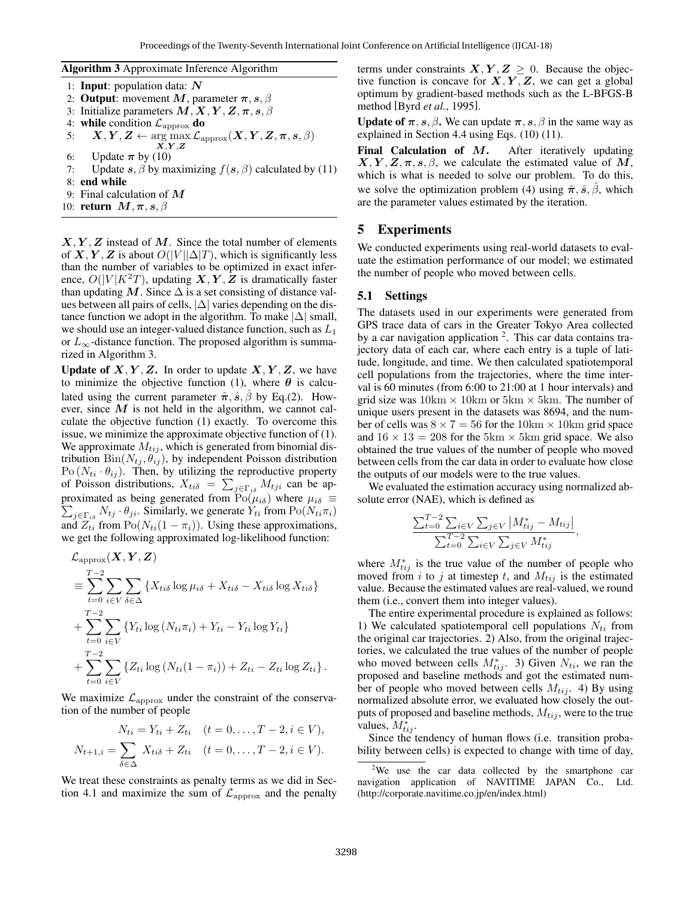Algorithm 3 Approximate Inference Algorithm

1: Input: population data: *N* 2: **Output**: movement *M*, parameter  $\pi$ , *s*,  $\beta$ 3: Initialize parameters  $M, X, Y, Z, \pi, s, \beta$ 4: **while** condition  $\mathcal{L}_{\text{approx}}$  **do**  $\mathbf{X}, \mathbf{Y}, \mathbf{Z} \leftarrow \argmax_{\mathbf{X}, \mathbf{Y}, \mathbf{Z}} \mathcal{L}_{\text{approx}}(\mathbf{X}, \mathbf{Y}, \mathbf{Z}, \boldsymbol{\pi}, \boldsymbol{s}, \beta)$ 6: Update  $\pi$  by (10) 7: Update  $s, \beta$  by maximizing  $f(s, \beta)$  calculated by (11) 8: end while 9: Final calculation of *M* 10: return *M,π, s, β*

 $X, Y, Z$  instead of  $M$ . Since the total number of elements of *X, Y, Z* is about  $O(|V||\Delta|T)$ , which is significantly less than the number of variables to be optimized in exact inference,  $O(|V|K^2T)$ , updating  $X, Y, Z$  is dramatically faster than updating  $M$ . Since  $\Delta$  is a set consisting of distance values between all pairs of cells, *|*∆*|* varies depending on the distance function we adopt in the algorithm. To make  $|\Delta|$  small, we should use an integer-valued distance function, such as *L*<sup>1</sup> or  $L_{\infty}$ -distance function. The proposed algorithm is summarized in Algorithm 3.

**Update of**  $X, Y, Z$ **.** In order to update  $X, Y, Z$ , we have to minimize the objective function (1), where  $\theta$  is calculated using the current parameter  $\hat{\pi}$ ,  $\hat{s}$ ,  $\hat{\beta}$  by Eq.(2). However, since  $M$  is not held in the algorithm, we cannot calculate the objective function (1) exactly. To overcome this issue, we minimize the approximate objective function of (1). We approximate  $M_{tij}$ , which is generated from binomial distribution  $\text{Bin}(N_{tj}, \theta_{ij})$ , by independent Poisson distribution  $Po(N_{ti} \cdot \theta_{ij})$ . Then, by utilizing the reproductive property of Poisson distributions,  $X_{ti\delta} = \sum_{j \in \Gamma_{i\delta}} M_{tji}$  can be approximated as being generated from ∑  $Po(\mu_{i\delta})$  where  $\mu_{i\delta} \equiv$  $j \in \Gamma_{i\delta}$   $N_{tj} \cdot \theta_{ji}$ . Similarly, we generate  $Y_{ti}$  from  $Po(N_{ti} \pi_i)$ and  $Z_{ti}$  from  $Po(N_{ti}(1 - \pi_i))$ . Using these approximations, we get the following approximated log-likelihood function:

$$
\mathcal{L}_{\text{approx}}(\boldsymbol{X}, \boldsymbol{Y}, \boldsymbol{Z})
$$
\n
$$
\equiv \sum_{t=0}^{T-2} \sum_{i \in V} \sum_{\delta \in \Delta} \{X_{ti\delta} \log \mu_{i\delta} + X_{ti\delta} - X_{ti\delta} \log X_{ti\delta}\}
$$
\n
$$
+ \sum_{t=0}^{T-2} \sum_{i \in V} \{Y_{ti} \log (N_{ti}\pi_i) + Y_{ti} - Y_{ti} \log Y_{ti}\}
$$
\n
$$
+ \sum_{t=0}^{T-2} \sum_{i \in V} \{Z_{ti} \log (N_{ti}(1 - \pi_i)) + Z_{ti} - Z_{ti} \log Z_{ti}\}.
$$

We maximize  $\mathcal{L}_{\text{approx}}$  under the constraint of the conservation of the number of people

$$
N_{ti} = Y_{ti} + Z_{ti} \quad (t = 0, \dots, T - 2, i \in V),
$$

$$
N_{t+1,i} = \sum_{\delta \in \Delta} X_{ti\delta} + Z_{ti} \quad (t = 0, \ldots, T-2, i \in V).
$$

We treat these constraints as penalty terms as we did in Section 4.1 and maximize the sum of  $\mathcal{L}_{\text{approx}}$  and the penalty terms under constraints  $X, Y, Z \geq 0$ . Because the objective function is concave for  $X, Y, Z$ , we can get a global optimum by gradient-based methods such as the L-BFGS-B method [Byrd *et al.*, 1995].

Update of  $\pi$ , *s*,  $\beta$ . We can update  $\pi$ , *s*,  $\beta$  in the same way as explained in Section 4.4 using Eqs. (10) (11).

Final Calculation of *M*. After iteratively updating  $X, Y, Z, \pi, s, \beta$ , we calculate the estimated value of *M*, which is what is needed to solve our problem. To do this, we solve the optimization problem (4) using  $\hat{\pi}$ ,  $\hat{s}$ ,  $\hat{\beta}$ , which are the parameter values estimated by the iteration.

## 5 Experiments

We conducted experiments using real-world datasets to evaluate the estimation performance of our model; we estimated the number of people who moved between cells.

#### 5.1 Settings

The datasets used in our experiments were generated from GPS trace data of cars in the Greater Tokyo Area collected by a car navigation application <sup>2</sup>. This car data contains trajectory data of each car, where each entry is a tuple of latitude, longitude, and time. We then calculated spatiotemporal cell populations from the trajectories, where the time interval is 60 minutes (from 6:00 to 21:00 at 1 hour intervals) and grid size was 10km *×* 10km or 5km *×* 5km. The number of unique users present in the datasets was 8694, and the number of cells was  $8 \times 7 = 56$  for the  $10 \text{km} \times 10 \text{km}$  grid space and  $16 \times 13 = 208$  for the 5km  $\times$  5km grid space. We also obtained the true values of the number of people who moved between cells from the car data in order to evaluate how close the outputs of our models were to the true values.

We evaluated the estimation accuracy using normalized absolute error (NAE), which is defined as

$$
\frac{\sum_{t=0}^{T-2} \sum_{i \in V} \sum_{j \in V} |M_{tij}^* - M_{tij}|}{\sum_{t=0}^{T-2} \sum_{i \in V} \sum_{j \in V} M_{tij}^*},
$$

where  $M_{tij}^*$  is the true value of the number of people who moved from *i* to *j* at timestep *t*, and  $M_{tij}$  is the estimated value. Because the estimated values are real-valued, we round them (i.e., convert them into integer values).

The entire experimental procedure is explained as follows: 1) We calculated spatiotemporal cell populations *Nti* from the original car trajectories. 2) Also, from the original trajectories, we calculated the true values of the number of people who moved between cells  $M^*_{tij}$ . 3) Given  $N_{ti}$ , we ran the proposed and baseline methods and got the estimated number of people who moved between cells  $M_{tij}$ . 4) By using normalized absolute error, we evaluated how closely the outputs of proposed and baseline methods,  $M_{tij}$ , were to the true values,  $M^*_{tij}$ .

Since the tendency of human flows (i.e. transition probability between cells) is expected to change with time of day,

<sup>&</sup>lt;sup>2</sup>We use the car data collected by the smartphone car navigation application of NAVITIME JAPAN Co., Ltd. (http://corporate.navitime.co.jp/en/index.html)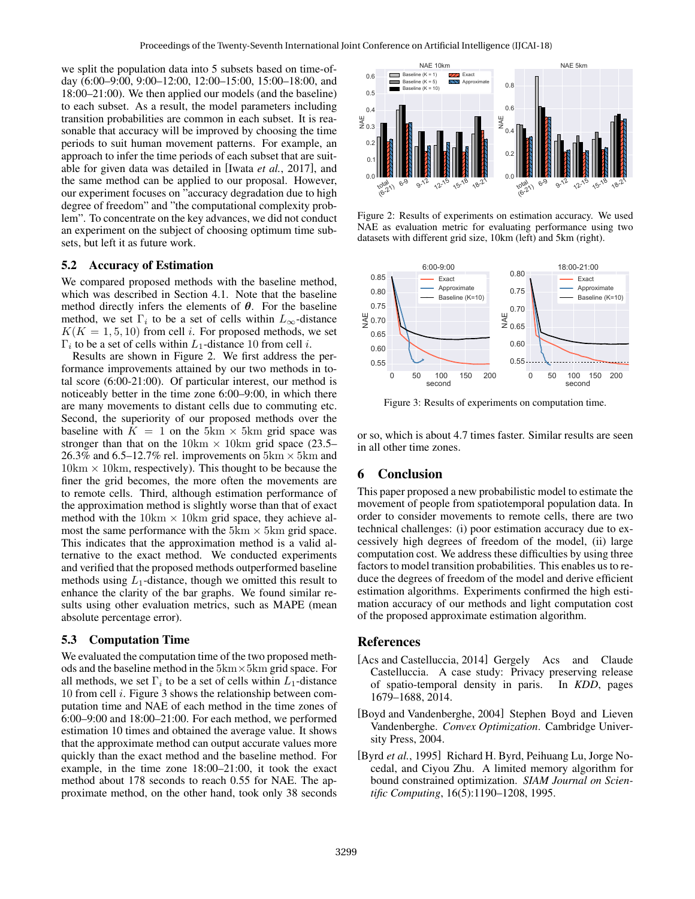we split the population data into 5 subsets based on time-ofday (6:00–9:00, 9:00–12:00, 12:00–15:00, 15:00–18:00, and 18:00–21:00). We then applied our models (and the baseline) to each subset. As a result, the model parameters including transition probabilities are common in each subset. It is reasonable that accuracy will be improved by choosing the time periods to suit human movement patterns. For example, an approach to infer the time periods of each subset that are suitable for given data was detailed in [Iwata *et al.*, 2017], and the same method can be applied to our proposal. However, our experiment focuses on "accuracy degradation due to high degree of freedom" and "the computational complexity problem". To concentrate on the key advances, we did not conduct an experiment on the subject of choosing optimum time subsets, but left it as future work.

### 5.2 Accuracy of Estimation

We compared proposed methods with the baseline method, which was described in Section 4.1. Note that the baseline method directly infers the elements of *θ*. For the baseline method, we set  $\Gamma_i$  to be a set of cells within  $L_\infty$ -distance  $K(K = 1, 5, 10)$  from cell *i*. For proposed methods, we set Γ*i* to be a set of cells within *L*1-distance 10 from cell *i*.

Results are shown in Figure 2. We first address the performance improvements attained by our two methods in total score (6:00-21:00). Of particular interest, our method is noticeably better in the time zone 6:00–9:00, in which there are many movements to distant cells due to commuting etc. Second, the superiority of our proposed methods over the baseline with  $K = 1$  on the 5km  $\times$  5km grid space was stronger than that on the  $10 \text{km} \times 10 \text{km}$  grid space (23.5– 26.3% and 6.5–12.7% rel. improvements on 5km *×* 5km and 10km *×* 10km, respectively). This thought to be because the finer the grid becomes, the more often the movements are to remote cells. Third, although estimation performance of the approximation method is slightly worse than that of exact method with the  $10 \text{km} \times 10 \text{km}$  grid space, they achieve almost the same performance with the  $5 \text{km} \times 5 \text{km}$  grid space. This indicates that the approximation method is a valid alternative to the exact method. We conducted experiments and verified that the proposed methods outperformed baseline methods using  $L_1$ -distance, though we omitted this result to enhance the clarity of the bar graphs. We found similar results using other evaluation metrics, such as MAPE (mean absolute percentage error). the same method, can be oppled to our proposal. However,<br>
our experiment focuses on "accuracy degradation due to high<br>
degree of freedom" and "the computational complexity probability". To concern the other by advance, we

#### 5.3 Computation Time

We evaluated the computation time of the two proposed methods and the baseline method in the 5km*×*5km grid space. For all methods, we set  $\Gamma_i$  to be a set of cells within  $L_1$ -distance 10 from cell *i*. Figure 3 shows the relationship between computation time and NAE of each method in the time zones of 6:00–9:00 and 18:00–21:00. For each method, we performed estimation 10 times and obtained the average value. It shows that the approximate method can output accurate values more quickly than the exact method and the baseline method. For example, in the time zone 18:00–21:00, it took the exact method about 178 seconds to reach 0.55 for NAE. The ap-



Figure 2: Results of experiments on estimation accuracy. We used NAE as evaluation metric for evaluating performance using two datasets with different grid size, 10km (left) and 5km (right).



Figure 3: Results of experiments on computation time.

or so, which is about 4.7 times faster. Similar results are seen in all other time zones.

## 6 Conclusion

This paper proposed a new probabilistic model to estimate the movement of people from spatiotemporal population data. In order to consider movements to remote cells, there are two technical challenges: (i) poor estimation accuracy due to excessively high degrees of freedom of the model, (ii) large computation cost. We address these difficulties by using three factors to model transition probabilities. This enables us to reduce the degrees of freedom of the model and derive efficient estimation algorithms. Experiments confirmed the high estimation accuracy of our methods and light computation cost of the proposed approximate estimation algorithm.

#### References

- [Acs and Castelluccia, 2014] Gergely Acs and Claude Castelluccia. A case study: Privacy preserving release of spatio-temporal density in paris. In *KDD*, pages 1679–1688, 2014.
- [Boyd and Vandenberghe, 2004] Stephen Boyd and Lieven Vandenberghe. *Convex Optimization*. Cambridge University Press, 2004.
- [Byrd *et al.*, 1995] Richard H. Byrd, Peihuang Lu, Jorge Nocedal, and Ciyou Zhu. A limited memory algorithm for bound constrained optimization. *SIAM Journal on Scientific Computing*, 16(5):1190–1208, 1995.